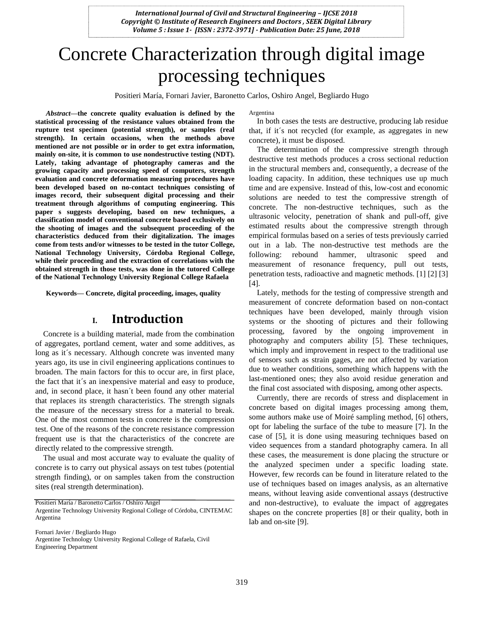# Concrete Characterization through digital image processing techniques

Positieri María, Fornari Javier, Baronetto Carlos, Oshiro Angel, Begliardo Hugo

*Abstract***—the concrete quality evaluation is defined by the statistical processing of the resistance values obtained from the rupture test specimen (potential strength), or samples (real strength). In certain occasions, when the methods above mentioned are not possible or in order to get extra information, mainly on-site, it is common to use nondestructive testing (NDT). Lately, taking advantage of photography cameras and the growing capacity and processing speed of computers, strength evaluation and concrete deformation measuring procedures have been developed based on no-contact techniques consisting of images record, their subsequent digital processing and their treatment through algorithms of computing engineering. This paper s suggests developing, based on new techniques, a classification model of conventional concrete based exclusively on the shooting of images and the subsequent proceeding of the characteristics deduced from their digitalization. The images come from tests and/or witnesses to be tested in the tutor College, National Technology University, Córdoba Regional College, while their proceeding and the extraction of correlations with the obtained strength in those tests, was done in the tutored College of the National Technology University Regional College Rafaela**

**Keywords— Concrete, digital proceeding, images, quality**

## **I. Introduction**

Concrete is a building material, made from the combination of aggregates, portland cement, water and some additives, as long as it´s necessary. Although concrete was invented many years ago, its use in civil engineering applications continues to broaden. The main factors for this to occur are, in first place, the fact that it´s an inexpensive material and easy to produce, and, in second place, it hasn´t been found any other material that replaces its strength characteristics. The strength signals the measure of the necessary stress for a material to break. One of the most common tests in concrete is the compression test. One of the reasons of the concrete resistance compression frequent use is that the characteristics of the concrete are directly related to the compressive strength.

The usual and most accurate way to evaluate the quality of concrete is to carry out physical assays on test tubes (potential strength finding), or on samples taken from the construction sites (real strength determination).

Positieri María / Baronetto Carlos / Oshiro Angel

Fornari Javier / Begliardo Hugo

Argentine Technology University Regional College of Rafaela, Civil Engineering Department

Argentina

In both cases the tests are destructive, producing lab residue that, if it´s not recycled (for example, as aggregates in new concrete), it must be disposed.

The determination of the compressive strength through destructive test methods produces a cross sectional reduction in the structural members and, consequently, a decrease of the loading capacity. In addition, these techniques use up much time and are expensive. Instead of this, low-cost and economic solutions are needed to test the compressive strength of concrete. The non-destructive techniques, such as the ultrasonic velocity, penetration of shank and pull-off, give estimated results about the compressive strength through empirical formulas based on a series of tests previously carried out in a lab. The non-destructive test methods are the following: rebound hammer, ultrasonic speed and measurement of resonance frequency, pull out tests, penetration tests, radioactive and magnetic methods. [1] [2] [3] [4].

Lately, methods for the testing of compressive strength and measurement of concrete deformation based on non-contact techniques have been developed, mainly through vision systems or the shooting of pictures and their following processing, favored by the ongoing improvement in photography and computers ability [5]. These techniques, which imply and improvement in respect to the traditional use of sensors such as strain gages, are not affected by variation due to weather conditions, something which happens with the last-mentioned ones; they also avoid residue generation and the final cost associated with disposing, among other aspects.

Currently, there are records of stress and displacement in concrete based on digital images processing among them, some authors make use of Moiré sampling method, [6] others, opt for labeling the surface of the tube to measure [7]. In the case of [5], it is done using measuring techniques based on video sequences from a standard photography camera. In all these cases, the measurement is done placing the structure or the analyzed specimen under a specific loading state. However, few records can be found in literature related to the use of techniques based on images analysis, as an alternative means, without leaving aside conventional assays (destructive and non-destructive), to evaluate the impact of aggregates shapes on the concrete properties [8] or their quality, both in lab and on-site [9].

Argentine Technology University Regional College of Córdoba, CINTEMAC Argentina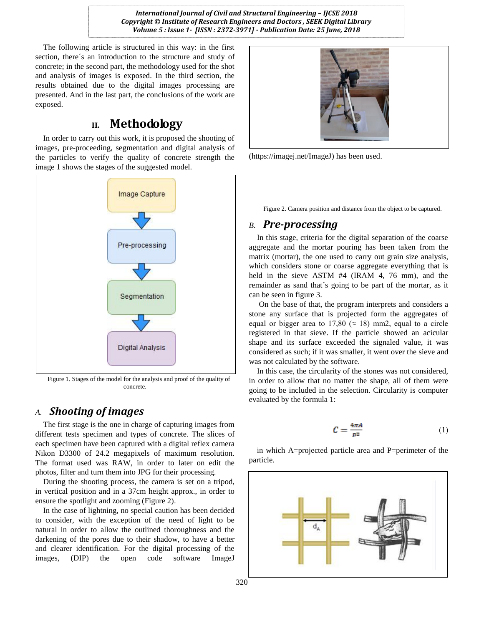The following article is structured in this way: in the first section, there´s an introduction to the structure and study of concrete; in the second part, the methodology used for the shot and analysis of images is exposed. In the third section, the results obtained due to the digital images processing are presented. And in the last part, the conclusions of the work are exposed.

## **II. Methodology**

In order to carry out this work, it is proposed the shooting of images, pre-proceeding, segmentation and digital analysis of the particles to verify the quality of concrete strength the image 1 shows the stages of the suggested model.



Figure 1. Stages of the model for the analysis and proof of the quality of concrete.

### *A. Shooting of images*

The first stage is the one in charge of capturing images from different tests specimen and types of concrete. The slices of each specimen have been captured with a digital reflex camera Nikon D3300 of 24.2 megapixels of maximum resolution. The format used was RAW, in order to later on edit the photos, filter and turn them into JPG for their processing.

During the shooting process, the camera is set on a tripod, in vertical position and in a 37cm height approx., in order to ensure the spotlight and zooming (Figure 2).

In the case of lightning, no special caution has been decided to consider, with the exception of the need of light to be natural in order to allow the outlined thoroughness and the darkening of the pores due to their shadow, to have a better and clearer identification. For the digital processing of the images, (DIP) the open code software ImageJ



(https://imagej.net/ImageJ) has been used.

Figure 2. Camera position and distance from the object to be captured.

#### *B. Pre-processing*

In this stage, criteria for the digital separation of the coarse aggregate and the mortar pouring has been taken from the matrix (mortar), the one used to carry out grain size analysis, which considers stone or coarse aggregate everything that is held in the sieve ASTM #4 (IRAM 4, 76 mm), and the remainder as sand that´s going to be part of the mortar, as it can be seen in figure 3.

On the base of that, the program interprets and considers a stone any surface that is projected form the aggregates of equal or bigger area to 17,80 ( $\approx$  18) mm2, equal to a circle registered in that sieve. If the particle showed an acicular shape and its surface exceeded the signaled value, it was considered as such; if it was smaller, it went over the sieve and was not calculated by the software.

In this case, the circularity of the stones was not considered, in order to allow that no matter the shape, all of them were going to be included in the selection. Circularity is computer evaluated by the formula 1:

$$
C = \frac{4\pi A}{p^2} \tag{1}
$$

in which A=projected particle area and P=perimeter of the particle.

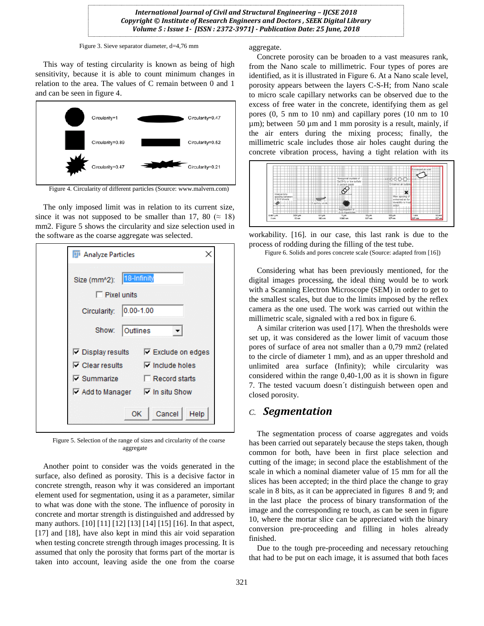Figure 3. Sieve separator diameter, d=4,76 mm

This way of testing circularity is known as being of high sensitivity, because it is able to count minimum changes in relation to the area. The values of C remain between 0 and 1 and can be seen in figure 4.



Figure 4. Circularity of different particles (Source: www.malvern.com)

The only imposed limit was in relation to its current size, since it was not supposed to be smaller than 17, 80 ( $\approx$  18) mm2. Figure 5 shows the circularity and size selection used in the software as the coarse aggregate was selected.

| <b>D</b> Analyze Particles                                                                                                                                                                                   |
|--------------------------------------------------------------------------------------------------------------------------------------------------------------------------------------------------------------|
| 18-Infinity<br>Size (mm^2):<br>$\Box$ Pixel units<br>$ 0.00 - 1.00$<br>Circularity:                                                                                                                          |
| Show:<br>Outlines                                                                                                                                                                                            |
| <b>V</b> Display results V Exclude on edges<br>$\triangledown$ Include holes<br>$\nabla$ Clear results<br>$\nabla$ Summarize<br>Record starts<br>$\triangledown$ Add to Manager $\triangledown$ In situ Show |
| Cancel<br>Help<br>OK                                                                                                                                                                                         |

Figure 5. Selection of the range of sizes and circularity of the coarse aggregate

Another point to consider was the voids generated in the surface, also defined as porosity. This is a decisive factor in concrete strength, reason why it was considered an important element used for segmentation, using it as a parameter, similar to what was done with the stone. The influence of porosity in concrete and mortar strength is distinguished and addressed by many authors. [10] [11] [12] [13] [14] [15] [16]. In that aspect, [17] and [18], have also kept in mind this air void separation when testing concrete strength through images processing. It is assumed that only the porosity that forms part of the mortar is taken into account, leaving aside the one from the coarse aggregate.

Concrete porosity can be broaden to a vast measures rank, from the Nano scale to millimetric. Four types of pores are identified, as it is illustrated in Figure 6. At a Nano scale level, porosity appears between the layers C-S-H; from Nano scale to micro scale capillary networks can be observed due to the excess of free water in the concrete, identifying them as gel pores (0, 5 nm to 10 nm) and capillary pores (10 nm to 10 µm); between 50 µm and 1 mm porosity is a result, mainly, if the air enters during the mixing process; finally, the millimetric scale includes those air holes caught during the concrete vibration process, having a tight relation with its



workability. [16]. in our case, this last rank is due to the process of rodding during the filling of the test tube.

Figure 6. Solids and pores concrete scale (Source: adapted from [16])

Considering what has been previously mentioned, for the digital images processing, the ideal thing would be to work with a Scanning Electron Microscope (SEM) in order to get to the smallest scales, but due to the limits imposed by the reflex camera as the one used. The work was carried out within the millimetric scale, signaled with a red box in figure 6.

A similar criterion was used [17]. When the thresholds were set up, it was considered as the lower limit of vacuum those pores of surface of area not smaller than a 0,79 mm2 (related to the circle of diameter 1 mm), and as an upper threshold and unlimited area surface (Infinity); while circularity was considered within the range 0,40-1,00 as it is shown in figure 7. The tested vacuum doesn´t distinguish between open and closed porosity.

#### *C. Segmentation*

The segmentation process of coarse aggregates and voids has been carried out separately because the steps taken, though common for both, have been in first place selection and cutting of the image; in second place the establishment of the scale in which a nominal diameter value of 15 mm for all the slices has been accepted; in the third place the change to gray scale in 8 bits, as it can be appreciated in figures 8 and 9; and in the last place the process of binary transformation of the image and the corresponding re touch, as can be seen in figure 10, where the mortar slice can be appreciated with the binary conversion pre-proceeding and filling in holes already finished.

Due to the tough pre-proceeding and necessary retouching that had to be put on each image, it is assumed that both faces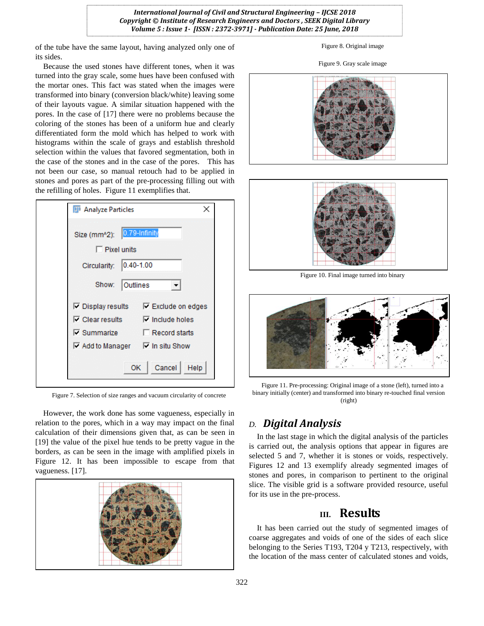of the tube have the same layout, having analyzed only one of its sides.

Because the used stones have different tones, when it was turned into the gray scale, some hues have been confused with the mortar ones. This fact was stated when the images were transformed into binary (conversion black/white) leaving some of their layouts vague. A similar situation happened with the pores. In the case of [17] there were no problems because the coloring of the stones has been of a uniform hue and clearly differentiated form the mold which has helped to work with histograms within the scale of grays and establish threshold selection within the values that favored segmentation, both in the case of the stones and in the case of the pores. This has not been our case, so manual retouch had to be applied in stones and pores as part of the pre-processing filling out with the refilling of holes. Figure 11 exemplifies that.



Figure 7. Selection of size ranges and vacuum circularity of concrete

However, the work done has some vagueness, especially in relation to the pores, which in a way may impact on the final calculation of their dimensions given that, as can be seen in [19] the value of the pixel hue tends to be pretty vague in the borders, as can be seen in the image with amplified pixels in Figure 12. It has been impossible to escape from that vagueness. [17].



Figure 8. Original image

#### Figure 9. Gray scale image





Figure 10. Final image turned into binary



Figure 11. Pre-processing: Original image of a stone (left), turned into a binary initially (center) and transformed into binary re-touched final version (right)

## *D. Digital Analysis*

In the last stage in which the digital analysis of the particles is carried out, the analysis options that appear in figures are selected 5 and 7, whether it is stones or voids, respectively. Figures 12 and 13 exemplify already segmented images of stones and pores, in comparison to pertinent to the original slice. The visible grid is a software provided resource, useful for its use in the pre-process.

## **III. Results**

It has been carried out the study of segmented images of coarse aggregates and voids of one of the sides of each slice belonging to the Series T193, T204 y T213, respectively, with the location of the mass center of calculated stones and voids,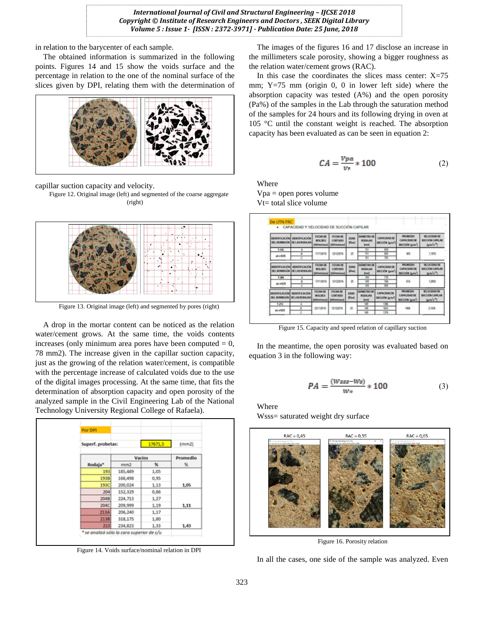in relation to the barycenter of each sample.

The obtained information is summarized in the following points. Figures 14 and 15 show the voids surface and the percentage in relation to the one of the nominal surface of the slices given by DPI, relating them with the determination of



capillar suction capacity and velocity.

Figure 12. Original image (left) and segmented of the coarse aggregate (right)



Figure 13. Original image (left) and segmented by pores (right)

A drop in the mortar content can be noticed as the relation water/cement grows. At the same time, the voids contents increases (only minimum area pores have been computed  $= 0$ , 78 mm2). The increase given in the capillar suction capacity, just as the growing of the relation water/cement, is compatible with the percentage increase of calculated voids due to the use of the digital images processing. At the same time, that fits the determination of absorption capacity and open porosity of the analyzed sample in the Civil Engineering Lab of the National Technology University Regional College of Rafaela).



Figure 14. Voids surface/nominal relation in DPI

The images of the figures 16 and 17 disclose an increase in the millimeters scale porosity, showing a bigger roughness as the relation water/cement grows (RAC).

In this case the coordinates the slices mass center:  $X=75$ mm;  $Y=75$  mm (origin 0, 0 in lower left side) where the absorption capacity was tested (A%) and the open porosity (Pa%) of the samples in the Lab through the saturation method of the samples for 24 hours and its following drying in oven at 105 °C until the constant weight is reached. The absorption capacity has been evaluated as can be seen in equation 2:

$$
CA = \frac{Vpa}{v_t} * 100\tag{2}
$$

Where Vpa = open pores volume Vt= total slice volume

|                      | <b>DOMESTACIÓN EXACTERACIÓN</b><br>DEL ROBBIGON DE LAS RODAJAS  | <b>FOOM DE</b><br><b>MOLDED</b><br><b>Hilterslasson</b> | <b>FECHADE</b><br>CORTADO<br><b><i><u>Milweissex</u></i></b> | <b>EDAD</b><br>Elian)      | DARKETRO OR<br>RODATAS<br><b>Jeans</b> | CAPACIDAD DE<br><b>BUCCION Series</b> | <b>PROGRAM DAY</b><br><b>CARACIDAD DE</b><br>SUCCIÓN (grim <sup>1</sup> ) | <b>VELOCIDAD DK</b><br><b>BIXCOON CAPE AB</b><br>late's")   |
|----------------------|-----------------------------------------------------------------|---------------------------------------------------------|--------------------------------------------------------------|----------------------------|----------------------------------------|---------------------------------------|---------------------------------------------------------------------------|-------------------------------------------------------------|
| <b>T.193</b>         | ۸                                                               |                                                         | 13120016                                                     | 25                         | 151                                    | <b>EB</b>                             |                                                                           |                                                             |
| ak x 8.45            | ٠<br>c                                                          | 17/11/2016                                              |                                                              |                            | 151<br>151                             | 800<br>35                             | 405                                                                       | 1,1876                                                      |
| <b>DENTIFICACIÓN</b> | <b><i>EXISTENADOR</i></b><br>DO, ROBBIGÓN TIK LAS RODAJAS       | FECHADE.<br><b>MOLDED</b><br><b>Midlingholagear</b>     | FECHA DE<br><b>CORTADO</b><br><b>Stdiwerkook</b>             | <b>EDAD</b><br>30iani      | DUANTITIO DE<br><b>BODAJAS</b>         | CAPACIDAD DE<br><b>SECODE SHAP</b>    | <b>PROMITTIO</b><br>CAPACIDAD DE<br><b>BICOON (prin')</b>                 | MILOCIDAD DE<br><b>BICODICAPEAN</b><br>leters <sup>19</sup> |
| 1,364                | ٠                                                               |                                                         | 13120016                                                     | $\mathbb{R}$               | 149                                    | TY6                                   |                                                                           | 1,2852                                                      |
| ak = 0.55            | к                                                               | 13/11/3016                                              |                                                              |                            | 1439                                   | 764                                   | 416                                                                       |                                                             |
|                      |                                                                 |                                                         |                                                              |                            | w                                      | w                                     |                                                                           |                                                             |
|                      | <b>DENTRICACIÓN DENTEICACIÓN</b><br>DEL HORMIGÓN DE LAS RODAJAS | FECHA DE<br><b>MOLDEG</b><br><b>Millmerulanand</b>      | <b>TECNADE</b><br>CORTADO<br><b>Midmenission</b>             | <b>EDAD</b><br><b>Dias</b> | OLRAILTRO OK<br>RODAJAS<br><b>Best</b> | CARACIDAD OK<br><b>MACCAON Sprint</b> | <b>PECINE DKO</b><br>CAPACIDAD DE<br>BOCCIÓN (grin")                      | <b>WILDCIDAD DK</b><br>BOCCIÓN CAPILAR<br>late's")          |
| T.213                | ۸                                                               | 20110016                                                | 13/12/2016                                                   | $^{50}$                    | 149                                    | 1366                                  |                                                                           | 31438                                                       |
| ak a 8.85            | ٠                                                               |                                                         |                                                              |                            | 149                                    | 541                                   | 1468                                                                      |                                                             |
|                      | c                                                               |                                                         |                                                              |                            | 149                                    | <b>UN</b>                             |                                                                           |                                                             |

Figure 15. Capacity and speed relation of capillary suction

In the meantime, the open porosity was evaluated based on equation 3 in the following way:

$$
PA = \frac{(Wsss - Ws)}{Ws} * 100\tag{3}
$$

#### Where

Wsss= saturated weight dry surface



Figure 16. Porosity relation

In all the cases, one side of the sample was analyzed. Even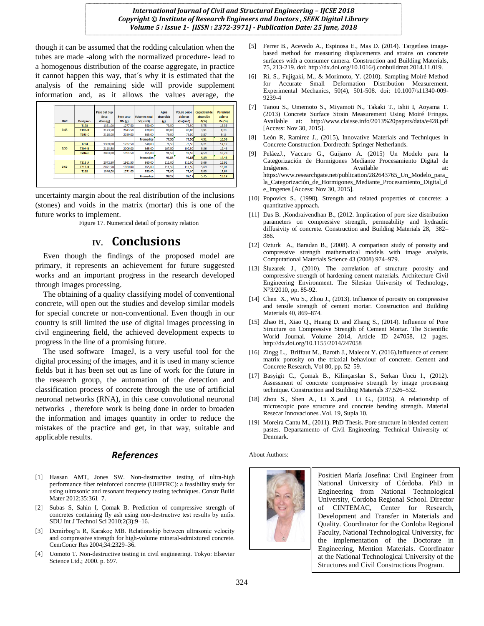though it can be assumed that the rodding calculation when the tubes are made -along with the normalized procedure- lead to a homogenous distribution of the coarse aggregate, in practice it cannot happen this way, that´s why it is estimated that the analysis of the remaining side will provide supplement information and, as it allows the values average, the

|            |             | <b>Peso Sat Sup</b><br><b>Seca</b> | Peso seco | <b>Volumen total</b> | Agua<br>absorbida | Vol.de poros<br>abiertos | <b>Capacidad de</b><br>absorción | Porosidad<br>abierta |
|------------|-------------|------------------------------------|-----------|----------------------|-------------------|--------------------------|----------------------------------|----------------------|
| <b>RAC</b> | Designac.   | Wsss (g)                           | Ws(g)     | $Vt$ ( $cm3$ )       | (g)               | Vpa(cm3)                 | A(%)                             | Pa (%)               |
| 0.45       | T193        | 1351,00                            | 1277,50   | 550,00               | 73,50             | 73,50                    | 5,75                             | 13,36                |
|            | T193-B      | 2123.50                            | 2043.50   | 870,00               | 80,00             | 80,00                    | 3.91                             | 9.20                 |
|            | T193-C      | 2118.00                            | 2039.00   | 865.00               | 79.00             | 79.00                    | 3.87                             | 9.13                 |
|            |             |                                    |           | <b>Promedios</b>     | 77.50             | 77.50                    | 4.51                             | 10.56                |
| 0.55       | T204        | 1309.00                            | 1232.50   | 540.00               | 76.50             | 76.50                    | 6.21                             | 14.17                |
|            | T204-B      | 2113.50                            | 2006.00   | 865.00               | 107.50            | 107.50                   | 5.36                             | 12.43                |
|            | T204-C      | 2083.00                            | 1991.50   | 855.00               | 91,50             | 91.50                    | 4.59                             | 10.70                |
|            |             |                                    |           | <b>Promedios</b>     | 91.83             | 91.83                    | 5.39                             | 12.43                |
| 0.65       | T213-A      | 2072.50                            | 1961.50   | 860.00               | 111,00            | 111,00                   | 5.66                             | 12.91                |
|            | T213-B      | 2071.50                            | 1960.00   | 855.00               | 111.50            | 111.50                   | 5.69                             | 13.04                |
|            | <b>T213</b> | 1346.00                            | 1271.00   | 550.00               | 75,00             | 75,00                    | 5,90                             | 13,64                |
|            |             |                                    |           | <b>Promedios</b>     | 99.17             | 99.17                    | 5.75                             | 13.19                |

uncertainty margin about the real distribution of the inclusions (stones) and voids in the matrix (mortar) this is one of the future works to implement.

Figure 17. Numerical detail of porosity relation

# **IV. Conclusions**

Even though the findings of the proposed model are primary, it represents an achievement for future suggested works and an important progress in the research developed through images processing.

The obtaining of a quality classifying model of conventional concrete, will open out the studies and develop similar models for special concrete or non-conventional. Even though in our country is still limited the use of digital images processing in civil engineering field, the achieved development expects to progress in the line of a promising future.

The used software ImageJ, is a very useful tool for the digital processing of the images, and it is used in many science fields but it has been set out as line of work for the future in the research group, the automation of the detection and classification process of concrete through the use of artificial neuronal networks (RNA), in this case convolutional neuronal networks , therefore work is being done in order to broaden the information and images quantity in order to reduce the mistakes of the practice and get, in that way, suitable and applicable results.

#### *References*

- [1] Hassan AMT, Jones SW. Non-destructive testing of ultra-high performance fiber reinforced concrete (UHPFRC): a feasibility study for using ultrasonic and resonant frequency testing techniques. Constr Build Mater 2012;35:361–7.
- [2] Subas S, Sahin I, Çomak B. Prediction of compressive strength of concretes containing fly ash using non-destructıve test results by anfis. SDU Int J Technol Sci 2010;2(3):9–16.
- [3] Demirbog˘a R, Karakoç MB. Relationship between ultrasonic velocity and compressive strength for high-volume mineral-admixtured concrete. CemConcr Res 2004;34:2329–36.
- [4] Uomoto T. Non-destructive testing in civil engineering. Tokyo: Elsevier Science Ltd.; 2000. p. 697.
- [5] Ferrer B., Acevedo A., Espinosa E., Mas D. (2014). Targetless imagebased method for measuring displacements and strains on concrete surfaces with a consumer camera. Construction and Building Materials, 75, 213-219. doi: http://dx.doi.org/10.1016/j.conbuildmat.2014.11.019.
- [6] Ri, S., Fujigaki, M., & Morimoto, Y. (2010). Sampling Moiré Method for Accurate Small Deformation Distribution Measurement. Experimental Mechanics, 50(4), 501-508. doi: 10.1007/s11340-009- 9239-4
- [7] Tanou S., Umemoto S., Miyamoti N., Takaki T., Ishii I, Aoyama T. (2013) Concrete Surface Strain Measurement Using Moiré Fringes. Available at: http://www.claisse.info/2013%20papers/data/e428.pdf [Access: Nov 30, 2015].
- [8] León R, Ramírez J., (2015), Innovative Materials and Techniques in Concrete Construction. Dordrecth: Springer Netherlands.
- [9] PeláezJ., Vaccaro G., Guijarro A. (2015) Un Modelo para la Categorización de Hormigones Mediante Procesamiento Digital de Imágenes. Available at: https://www.researchgate.net/publication/282643765\_Un\_Modelo\_para\_ la\_Categorización\_de\_Hormigones\_Mediante\_Procesamiento\_Digital\_d e\_Imgenes [Access: Nov 30, 2015].
- [10] Popovics S., (1998). Strength and related properties of concrete: a quantitative approach.
- [11] Das B. ,Kondraivendhan B., (2012. Implication of pore size distribution parameters on compressive strength, permeability and hydraulic diffusivity of concrete. Construction and Building Materials 28, 382– 386.
- [12] Ozturk A., Baradan B., (2008). A comparison study of porosity and compressive strength mathematical models with image analysis. Computational Materials Science 43 (2008) 974–979.
- [13] Śluzarek J., (2010). The correlation of structure porosity and compressive strength of hardening cement materials. Architecture Civil Engineering Environment. The Silesian University of Technology, N°3/2010, pp. 85-92.
- [14] Chen X., Wu S., Zhou J., (2013). Influence of porosity on compressive and tensile strength of cement mortar. Construction and Building Materials 40, 869–874.
- [15] Zhao H., Xiao Q., Huang D. and Zhang S., (2014). Influence of Pore Structure on Compressive Strength of Cement Mortar. The Scientific World Journal. Volume 2014, Article ID 247058, 12 pages. http://dx.doi.org/10.1155/2014/247058
- [16] Zingg L., Briffaut M., Baroth J., Malecot Y. (2016).Influence of cement matrix porosity on the triaxial behaviour of concrete. Cement and Concrete Research, Vol 80, pp. 52–59.
- [17] Basyigit C., Çomak B., Kilinçarslan S., Serkan Üncü I., (2012). Assessment of concrete compressive strength by image processing technique. Construction and Building Materials 37,526–532.
- [18] Zhou S., Shen A., Li X.,and Li G., (2015). A relationship of microscopic pore structure and concrete bending strength. Material Resecar Innovaciones .Vol. 19, Supla 10.
- [19] Moreira Cantu M., (2011). PhD Thesis. Pore structure in blended cement pastes. Departamento of Civil Engineering. Technical University of Denmark.

About Authors:



Positieri María Josefina: Civil Engineer from National University of Córdoba. PhD in Engineering from National Technological University, Cordoba Regional School. Director of CINTEMAC, Center for Research, Development and Transfer in Materials and Quality. Coordinator for the Cordoba Regional Faculty, National Technological University, for the implementation of the Doctorate in Engineering, Mention Materials. Coordinator at the National Technological University of the Structures and Civil Constructions Program.